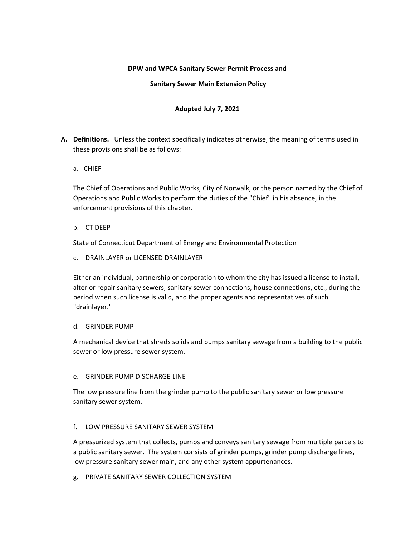### **DPW and WPCA Sanitary Sewer Permit Process and**

#### **Sanitary Sewer Main Extension Policy**

### **Adopted July 7, 2021**

- **A. Definitions.** Unless the context specifically indicates otherwise, the meaning of terms used in these provisions shall be as follows:
	- a. CHIEF

The Chief of Operations and Public Works, City of Norwalk, or the person named by the Chief of Operations and Public Works to perform the duties of the "Chief" in his absence, in the enforcement provisions of this chapter.

b. CT DEEP

State of Connecticut Department of Energy and Environmental Protection

c. DRAINLAYER or LICENSED DRAINLAYER

Either an individual, partnership or corporation to whom the city has issued a license to install, alter or repair sanitary sewers, sanitary sewer connections, house connections, etc., during the period when such license is valid, and the proper agents and representatives of such "drainlayer."

#### d. GRINDER PUMP

A mechanical device that shreds solids and pumps sanitary sewage from a building to the public sewer or low pressure sewer system.

#### e. GRINDER PUMP DISCHARGE LINE

The low pressure line from the grinder pump to the public sanitary sewer or low pressure sanitary sewer system.

#### f. LOW PRESSURE SANITARY SEWER SYSTEM

A pressurized system that collects, pumps and conveys sanitary sewage from multiple parcels to a public sanitary sewer. The system consists of grinder pumps, grinder pump discharge lines, low pressure sanitary sewer main, and any other system appurtenances.

g. PRIVATE SANITARY SEWER COLLECTION SYSTEM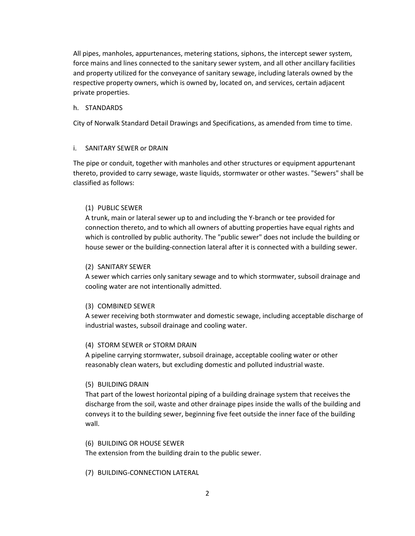All pipes, manholes, appurtenances, metering stations, siphons, the intercept sewer system, force mains and lines connected to the sanitary sewer system, and all other ancillary facilities and property utilized for the conveyance of sanitary sewage, including laterals owned by the respective property owners, which is owned by, located on, and services, certain adjacent private properties.

#### h. STANDARDS

City of Norwalk Standard Detail Drawings and Specifications, as amended from time to time.

#### i. SANITARY SEWER or DRAIN

The pipe or conduit, together with manholes and other structures or equipment appurtenant thereto, provided to carry sewage, waste liquids, stormwater or other wastes. "Sewers" shall be classified as follows:

#### (1) PUBLIC SEWER

A trunk, main or lateral sewer up to and including the Y-branch or tee provided for connection thereto, and to which all owners of abutting properties have equal rights and which is controlled by public authority. The "public sewer" does not include the building or house sewer or the building-connection lateral after it is connected with a building sewer.

#### (2) SANITARY SEWER

A sewer which carries only sanitary sewage and to which stormwater, subsoil drainage and cooling water are not intentionally admitted.

#### (3) COMBINED SEWER

A sewer receiving both stormwater and domestic sewage, including acceptable discharge of industrial wastes, subsoil drainage and cooling water.

#### (4) STORM SEWER or STORM DRAIN

A pipeline carrying stormwater, subsoil drainage, acceptable cooling water or other reasonably clean waters, but excluding domestic and polluted industrial waste.

#### (5) BUILDING DRAIN

That part of the lowest horizontal piping of a building drainage system that receives the discharge from the soil, waste and other drainage pipes inside the walls of the building and conveys it to the building sewer, beginning five feet outside the inner face of the building wall.

#### (6) BUILDING OR HOUSE SEWER

The extension from the building drain to the public sewer.

#### (7) BUILDING-CONNECTION LATERAL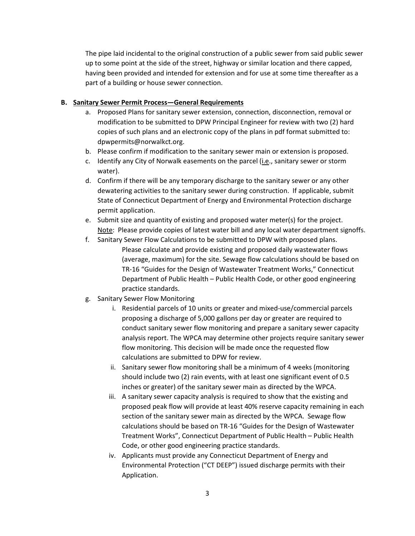The pipe laid incidental to the original construction of a public sewer from said public sewer up to some point at the side of the street, highway or similar location and there capped, having been provided and intended for extension and for use at some time thereafter as a part of a building or house sewer connection.

### **B. Sanitary Sewer Permit Process—General Requirements**

- a. Proposed Plans for sanitary sewer extension, connection, disconnection, removal or modification to be submitted to DPW Principal Engineer for review with two (2) hard copies of such plans and an electronic copy of the plans in pdf format submitted to: dpwpermits@norwalkct.org.
- b. Please confirm if modification to the sanitary sewer main or extension is proposed.
- c. Identify any City of Norwalk easements on the parcel (i.e., sanitary sewer or storm water).
- d. Confirm if there will be any temporary discharge to the sanitary sewer or any other dewatering activities to the sanitary sewer during construction. If applicable, submit State of Connecticut Department of Energy and Environmental Protection discharge permit application.
- e. Submit size and quantity of existing and proposed water meter(s) for the project. Note: Please provide copies of latest water bill and any local water department signoffs.
- f. Sanitary Sewer Flow Calculations to be submitted to DPW with proposed plans. Please calculate and provide existing and proposed daily wastewater flows (average, maximum) for the site. Sewage flow calculations should be based on TR-16 "Guides for the Design of Wastewater Treatment Works," Connecticut Department of Public Health – Public Health Code, or other good engineering practice standards.
- g. Sanitary Sewer Flow Monitoring
	- i. Residential parcels of 10 units or greater and mixed-use/commercial parcels proposing a discharge of 5,000 gallons per day or greater are required to conduct sanitary sewer flow monitoring and prepare a sanitary sewer capacity analysis report. The WPCA may determine other projects require sanitary sewer flow monitoring. This decision will be made once the requested flow calculations are submitted to DPW for review.
	- ii. Sanitary sewer flow monitoring shall be a minimum of 4 weeks (monitoring should include two (2) rain events, with at least one significant event of 0.5 inches or greater) of the sanitary sewer main as directed by the WPCA.
	- iii. A sanitary sewer capacity analysis is required to show that the existing and proposed peak flow will provide at least 40% reserve capacity remaining in each section of the sanitary sewer main as directed by the WPCA. Sewage flow calculations should be based on TR-16 "Guides for the Design of Wastewater Treatment Works", Connecticut Department of Public Health – Public Health Code, or other good engineering practice standards.
	- iv. Applicants must provide any Connecticut Department of Energy and Environmental Protection ("CT DEEP") issued discharge permits with their Application.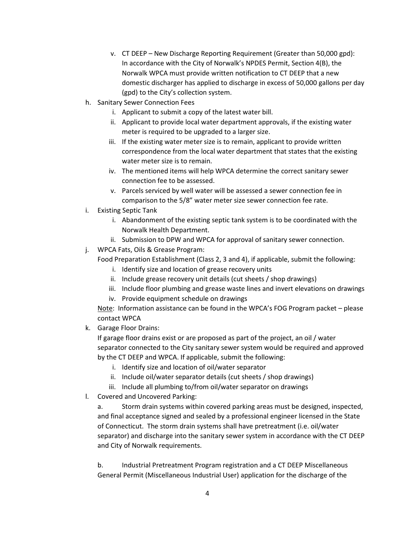- v. CT DEEP New Discharge Reporting Requirement (Greater than 50,000 gpd): In accordance with the City of Norwalk's NPDES Permit, Section 4(B), the Norwalk WPCA must provide written notification to CT DEEP that a new domestic discharger has applied to discharge in excess of 50,000 gallons per day (gpd) to the City's collection system.
- h. Sanitary Sewer Connection Fees
	- i. Applicant to submit a copy of the latest water bill.
	- ii. Applicant to provide local water department approvals, if the existing water meter is required to be upgraded to a larger size.
	- iii. If the existing water meter size is to remain, applicant to provide written correspondence from the local water department that states that the existing water meter size is to remain.
	- iv. The mentioned items will help WPCA determine the correct sanitary sewer connection fee to be assessed.
	- v. Parcels serviced by well water will be assessed a sewer connection fee in comparison to the 5/8" water meter size sewer connection fee rate.
- i. Existing Septic Tank
	- i. Abandonment of the existing septic tank system is to be coordinated with the Norwalk Health Department.
	- ii. Submission to DPW and WPCA for approval of sanitary sewer connection.
- j. WPCA Fats, Oils & Grease Program:

Food Preparation Establishment (Class 2, 3 and 4), if applicable, submit the following:

- i. Identify size and location of grease recovery units
- ii. Include grease recovery unit details (cut sheets / shop drawings)
- iii. Include floor plumbing and grease waste lines and invert elevations on drawings
- iv. Provide equipment schedule on drawings

Note: Information assistance can be found in the WPCA's FOG Program packet – please contact WPCA

k. Garage Floor Drains:

If garage floor drains exist or are proposed as part of the project, an oil / water separator connected to the City sanitary sewer system would be required and approved by the CT DEEP and WPCA. If applicable, submit the following:

- i. Identify size and location of oil/water separator
- ii. Include oil/water separator details (cut sheets / shop drawings)
- iii. Include all plumbing to/from oil/water separator on drawings
- l. Covered and Uncovered Parking:

a. Storm drain systems within covered parking areas must be designed, inspected, and final acceptance signed and sealed by a professional engineer licensed in the State of Connecticut. The storm drain systems shall have pretreatment (i.e. oil/water separator) and discharge into the sanitary sewer system in accordance with the CT DEEP and City of Norwalk requirements.

b. Industrial Pretreatment Program registration and a CT DEEP Miscellaneous General Permit (Miscellaneous Industrial User) application for the discharge of the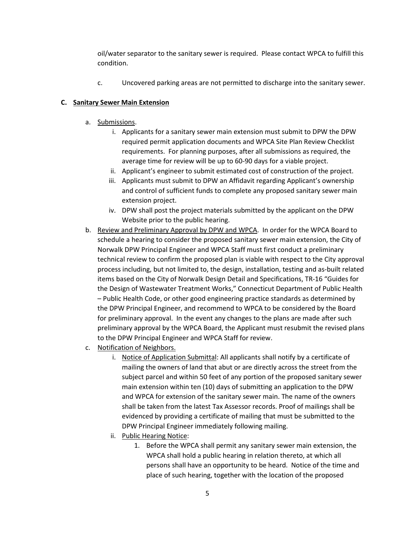oil/water separator to the sanitary sewer is required. Please contact WPCA to fulfill this condition.

c. Uncovered parking areas are not permitted to discharge into the sanitary sewer.

### **C. Sanitary Sewer Main Extension**

- a. Submissions.
	- i. Applicants for a sanitary sewer main extension must submit to DPW the DPW required permit application documents and WPCA Site Plan Review Checklist requirements. For planning purposes, after all submissions as required, the average time for review will be up to 60-90 days for a viable project.
	- ii. Applicant's engineer to submit estimated cost of construction of the project.
	- iii. Applicants must submit to DPW an Affidavit regarding Applicant's ownership and control of sufficient funds to complete any proposed sanitary sewer main extension project.
	- iv. DPW shall post the project materials submitted by the applicant on the DPW Website prior to the public hearing.
- b. Review and Preliminary Approval by DPW and WPCA. In order for the WPCA Board to schedule a hearing to consider the proposed sanitary sewer main extension, the City of Norwalk DPW Principal Engineer and WPCA Staff must first conduct a preliminary technical review to confirm the proposed plan is viable with respect to the City approval process including, but not limited to, the design, installation, testing and as-built related items based on the City of Norwalk Design Detail and Specifications, TR-16 "Guides for the Design of Wastewater Treatment Works," Connecticut Department of Public Health – Public Health Code, or other good engineering practice standards as determined by the DPW Principal Engineer, and recommend to WPCA to be considered by the Board for preliminary approval. In the event any changes to the plans are made after such preliminary approval by the WPCA Board, the Applicant must resubmit the revised plans to the DPW Principal Engineer and WPCA Staff for review.
- c. Notification of Neighbors.
	- i. Notice of Application Submittal: All applicants shall notify by a certificate of mailing the owners of land that abut or are directly across the street from the subject parcel and within 50 feet of any portion of the proposed sanitary sewer main extension within ten (10) days of submitting an application to the DPW and WPCA for extension of the sanitary sewer main. The name of the owners shall be taken from the latest Tax Assessor records. Proof of mailings shall be evidenced by providing a certificate of mailing that must be submitted to the DPW Principal Engineer immediately following mailing.
	- ii. Public Hearing Notice:
		- 1. Before the WPCA shall permit any sanitary sewer main extension, the WPCA shall hold a public hearing in relation thereto, at which all persons shall have an opportunity to be heard. Notice of the time and place of such hearing, together with the location of the proposed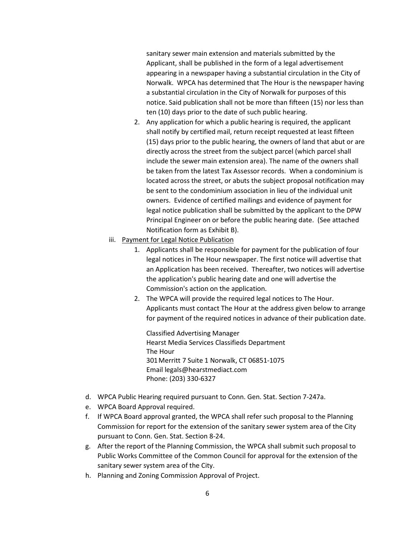sanitary sewer main extension and materials submitted by the Applicant, shall be published in the form of a legal advertisement appearing in a newspaper having a substantial circulation in the City of Norwalk. WPCA has determined that The Hour is the newspaper having a substantial circulation in the City of Norwalk for purposes of this notice. Said publication shall not be more than fifteen (15) nor less than ten (10) days prior to the date of such public hearing.

- 2. Any application for which a public hearing is required, the applicant shall notify by certified mail, return receipt requested at least fifteen (15) days prior to the public hearing, the owners of land that abut or are directly across the street from the subject parcel (which parcel shall include the sewer main extension area). The name of the owners shall be taken from the latest Tax Assessor records. When a condominium is located across the street, or abuts the subject proposal notification may be sent to the condominium association in lieu of the individual unit owners. Evidence of certified mailings and evidence of payment for legal notice publication shall be submitted by the applicant to the DPW Principal Engineer on or before the public hearing date. (See attached Notification form as Exhibit B).
- iii. Payment for Legal Notice Publication
	- 1. Applicants shall be responsible for payment for the publication of four legal notices in The Hour newspaper. The first notice will advertise that an Application has been received. Thereafter, two notices will advertise the application's public hearing date and one will advertise the Commission's action on the application.
	- 2. The WPCA will provide the required legal notices to The Hour. Applicants must contact The Hour at the address given below to arrange for payment of the required notices in advance of their publication date.

Classified Advertising Manager Hearst Media Services Classifieds Department The Hour 301Merritt 7 Suite 1 Norwalk, CT 06851-1075 Email legals@hearstmediact.com Phone: (203) 330-6327

- d. WPCA Public Hearing required pursuant to Conn. Gen. Stat. Section 7-247a.
- e. WPCA Board Approval required.
- f. If WPCA Board approval granted, the WPCA shall refer such proposal to the Planning Commission for report for the extension of the sanitary sewer system area of the City pursuant to Conn. Gen. Stat. Section 8-24.
- g. After the report of the Planning Commission, the WPCA shall submit such proposal to Public Works Committee of the Common Council for approval for the extension of the sanitary sewer system area of the City.
- h. Planning and Zoning Commission Approval of Project.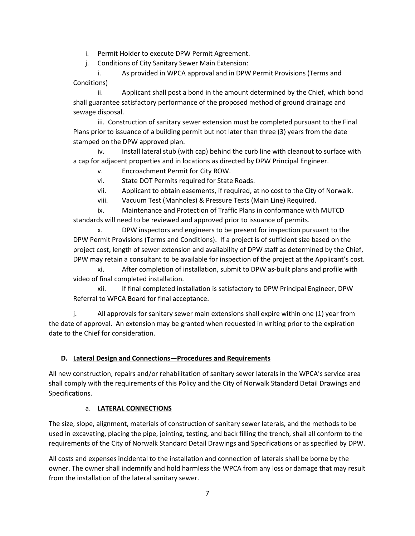i. Permit Holder to execute DPW Permit Agreement.

j. Conditions of City Sanitary Sewer Main Extension:

i. As provided in WPCA approval and in DPW Permit Provisions (Terms and Conditions)

ii. Applicant shall post a bond in the amount determined by the Chief, which bond shall guarantee satisfactory performance of the proposed method of ground drainage and sewage disposal.

iii. Construction of sanitary sewer extension must be completed pursuant to the Final Plans prior to issuance of a building permit but not later than three (3) years from the date stamped on the DPW approved plan.

iv. Install lateral stub (with cap) behind the curb line with cleanout to surface with a cap for adjacent properties and in locations as directed by DPW Principal Engineer.

v. Encroachment Permit for City ROW.

vi. State DOT Permits required for State Roads.

vii. Applicant to obtain easements, if required, at no cost to the City of Norwalk.

viii. Vacuum Test (Manholes) & Pressure Tests (Main Line) Required.

ix. Maintenance and Protection of Traffic Plans in conformance with MUTCD standards will need to be reviewed and approved prior to issuance of permits.

x. DPW inspectors and engineers to be present for inspection pursuant to the DPW Permit Provisions (Terms and Conditions). If a project is of sufficient size based on the project cost, length of sewer extension and availability of DPW staff as determined by the Chief, DPW may retain a consultant to be available for inspection of the project at the Applicant's cost.

xi. After completion of installation, submit to DPW as-built plans and profile with video of final completed installation.

xii. If final completed installation is satisfactory to DPW Principal Engineer, DPW Referral to WPCA Board for final acceptance.

j. All approvals for sanitary sewer main extensions shall expire within one (1) year from the date of approval. An extension may be granted when requested in writing prior to the expiration date to the Chief for consideration.

## **D. Lateral Design and Connections—Procedures and Requirements**

All new construction, repairs and/or rehabilitation of sanitary sewer laterals in the WPCA's service area shall comply with the requirements of this Policy and the City of Norwalk Standard Detail Drawings and Specifications.

## a. **LATERAL CONNECTIONS**

The size, slope, alignment, materials of construction of sanitary sewer laterals, and the methods to be used in excavating, placing the pipe, jointing, testing, and back filling the trench, shall all conform to the requirements of the City of Norwalk Standard Detail Drawings and Specifications or as specified by DPW.

All costs and expenses incidental to the installation and connection of laterals shall be borne by the owner. The owner shall indemnify and hold harmless the WPCA from any loss or damage that may result from the installation of the lateral sanitary sewer.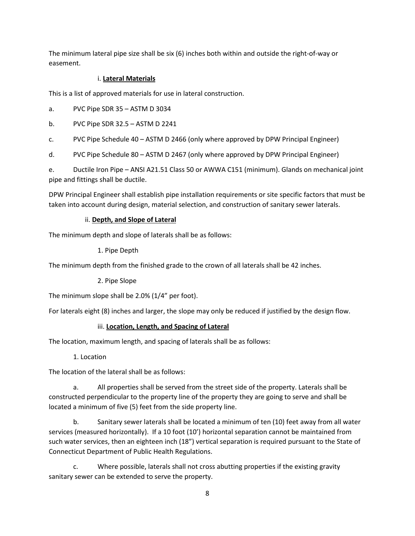The minimum lateral pipe size shall be six (6) inches both within and outside the right-of-way or easement.

## i. **Lateral Materials**

This is a list of approved materials for use in lateral construction.

a. PVC Pipe SDR 35 – ASTM D 3034

b. PVC Pipe SDR 32.5 – ASTM D 2241

c. PVC Pipe Schedule 40 – ASTM D 2466 (only where approved by DPW Principal Engineer)

d. PVC Pipe Schedule 80 – ASTM D 2467 (only where approved by DPW Principal Engineer)

e. Ductile Iron Pipe – ANSI A21.51 Class 50 or AWWA C151 (minimum). Glands on mechanical joint pipe and fittings shall be ductile.

DPW Principal Engineer shall establish pipe installation requirements or site specific factors that must be taken into account during design, material selection, and construction of sanitary sewer laterals.

# ii. **Depth, and Slope of Lateral**

The minimum depth and slope of laterals shall be as follows:

## 1. Pipe Depth

The minimum depth from the finished grade to the crown of all laterals shall be 42 inches.

2. Pipe Slope

The minimum slope shall be 2.0% (1/4" per foot).

For laterals eight (8) inches and larger, the slope may only be reduced if justified by the design flow.

## iii. **Location, Length, and Spacing of Lateral**

The location, maximum length, and spacing of laterals shall be as follows:

1. Location

The location of the lateral shall be as follows:

a. All properties shall be served from the street side of the property. Laterals shall be constructed perpendicular to the property line of the property they are going to serve and shall be located a minimum of five (5) feet from the side property line.

b. Sanitary sewer laterals shall be located a minimum of ten (10) feet away from all water services (measured horizontally). If a 10 foot (10') horizontal separation cannot be maintained from such water services, then an eighteen inch (18") vertical separation is required pursuant to the State of Connecticut Department of Public Health Regulations.

c. Where possible, laterals shall not cross abutting properties if the existing gravity sanitary sewer can be extended to serve the property.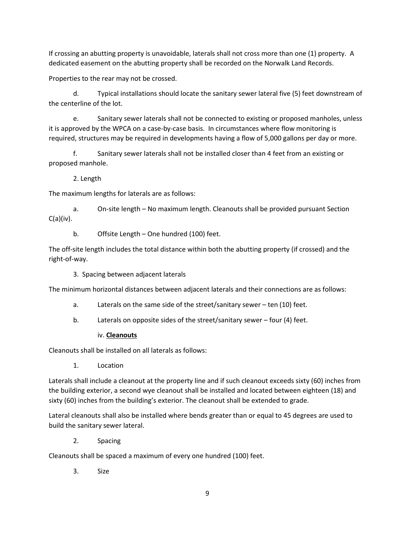If crossing an abutting property is unavoidable, laterals shall not cross more than one (1) property. A dedicated easement on the abutting property shall be recorded on the Norwalk Land Records.

Properties to the rear may not be crossed.

d. Typical installations should locate the sanitary sewer lateral five (5) feet downstream of the centerline of the lot.

e. Sanitary sewer laterals shall not be connected to existing or proposed manholes, unless it is approved by the WPCA on a case-by-case basis. In circumstances where flow monitoring is required, structures may be required in developments having a flow of 5,000 gallons per day or more.

f. Sanitary sewer laterals shall not be installed closer than 4 feet from an existing or proposed manhole.

2. Length

The maximum lengths for laterals are as follows:

a. On-site length – No maximum length. Cleanouts shall be provided pursuant Section  $C(a)(iv)$ .

b. Offsite Length – One hundred (100) feet.

The off-site length includes the total distance within both the abutting property (if crossed) and the right-of-way.

3. Spacing between adjacent laterals

The minimum horizontal distances between adjacent laterals and their connections are as follows:

- a. Laterals on the same side of the street/sanitary sewer ten (10) feet.
- b. Laterals on opposite sides of the street/sanitary sewer four (4) feet.

### iv. **Cleanouts**

Cleanouts shall be installed on all laterals as follows:

1. Location

Laterals shall include a cleanout at the property line and if such cleanout exceeds sixty (60) inches from the building exterior, a second wye cleanout shall be installed and located between eighteen (18) and sixty (60) inches from the building's exterior. The cleanout shall be extended to grade.

Lateral cleanouts shall also be installed where bends greater than or equal to 45 degrees are used to build the sanitary sewer lateral.

2. Spacing

Cleanouts shall be spaced a maximum of every one hundred (100) feet.

3. Size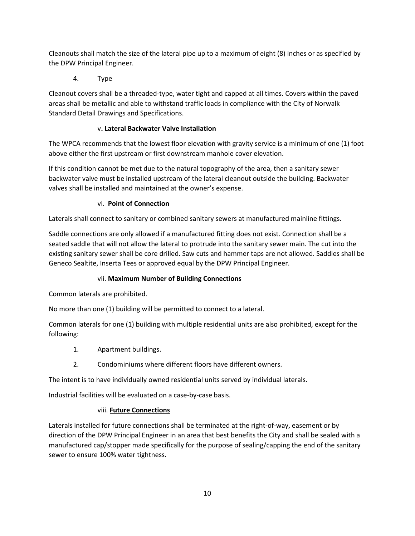Cleanouts shall match the size of the lateral pipe up to a maximum of eight (8) inches or as specified by the DPW Principal Engineer.

4. Type

Cleanout covers shall be a threaded-type, water tight and capped at all times. Covers within the paved areas shall be metallic and able to withstand traffic loads in compliance with the City of Norwalk Standard Detail Drawings and Specifications.

# v**. Lateral Backwater Valve Installation**

The WPCA recommends that the lowest floor elevation with gravity service is a minimum of one (1) foot above either the first upstream or first downstream manhole cover elevation.

If this condition cannot be met due to the natural topography of the area, then a sanitary sewer backwater valve must be installed upstream of the lateral cleanout outside the building. Backwater valves shall be installed and maintained at the owner's expense.

## vi. **Point of Connection**

Laterals shall connect to sanitary or combined sanitary sewers at manufactured mainline fittings.

Saddle connections are only allowed if a manufactured fitting does not exist. Connection shall be a seated saddle that will not allow the lateral to protrude into the sanitary sewer main. The cut into the existing sanitary sewer shall be core drilled. Saw cuts and hammer taps are not allowed. Saddles shall be Geneco Sealtite, Inserta Tees or approved equal by the DPW Principal Engineer.

## vii. **Maximum Number of Building Connections**

Common laterals are prohibited.

No more than one (1) building will be permitted to connect to a lateral.

Common laterals for one (1) building with multiple residential units are also prohibited, except for the following:

- 1. Apartment buildings.
- 2. Condominiums where different floors have different owners.

The intent is to have individually owned residential units served by individual laterals.

Industrial facilities will be evaluated on a case-by-case basis.

## viii. **Future Connections**

Laterals installed for future connections shall be terminated at the right-of-way, easement or by direction of the DPW Principal Engineer in an area that best benefits the City and shall be sealed with a manufactured cap/stopper made specifically for the purpose of sealing/capping the end of the sanitary sewer to ensure 100% water tightness.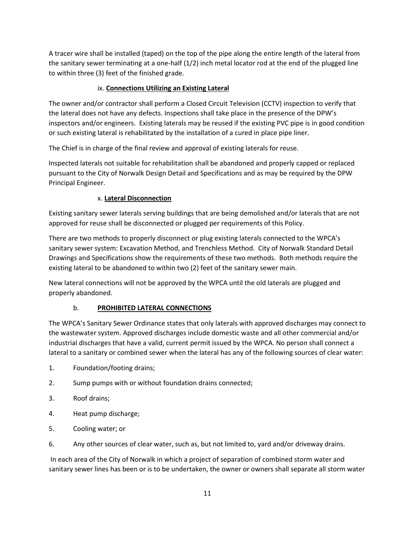A tracer wire shall be installed (taped) on the top of the pipe along the entire length of the lateral from the sanitary sewer terminating at a one-half (1/2) inch metal locator rod at the end of the plugged line to within three (3) feet of the finished grade.

# ix. **Connections Utilizing an Existing Lateral**

The owner and/or contractor shall perform a Closed Circuit Television (CCTV) inspection to verify that the lateral does not have any defects. Inspections shall take place in the presence of the DPW's inspectors and/or engineers. Existing laterals may be reused if the existing PVC pipe is in good condition or such existing lateral is rehabilitated by the installation of a cured in place pipe liner.

The Chief is in charge of the final review and approval of existing laterals for reuse.

Inspected laterals not suitable for rehabilitation shall be abandoned and properly capped or replaced pursuant to the City of Norwalk Design Detail and Specifications and as may be required by the DPW Principal Engineer.

## x. **Lateral Disconnection**

Existing sanitary sewer laterals serving buildings that are being demolished and/or laterals that are not approved for reuse shall be disconnected or plugged per requirements of this Policy.

There are two methods to properly disconnect or plug existing laterals connected to the WPCA's sanitary sewer system: Excavation Method, and Trenchless Method. City of Norwalk Standard Detail Drawings and Specifications show the requirements of these two methods.Both methods require the existing lateral to be abandoned to within two (2) feet of the sanitary sewer main.

New lateral connections will not be approved by the WPCA until the old laterals are plugged and properly abandoned.

## b. **PROHIBITED LATERAL CONNECTIONS**

The WPCA's Sanitary Sewer Ordinance states that only laterals with approved discharges may connect to the wastewater system. Approved discharges include domestic waste and all other commercial and/or industrial discharges that have a valid, current permit issued by the WPCA. No person shall connect a lateral to a sanitary or combined sewer when the lateral has any of the following sources of clear water:

- 1. Foundation/footing drains;
- 2. Sump pumps with or without foundation drains connected;
- 3. Roof drains;
- 4. Heat pump discharge;
- 5. Cooling water; or
- 6. Any other sources of clear water, such as, but not limited to, yard and/or driveway drains.

 In each area of the City of Norwalk in which a project of separation of combined storm water and sanitary sewer lines has been or is to be undertaken, the owner or owners shall separate all storm water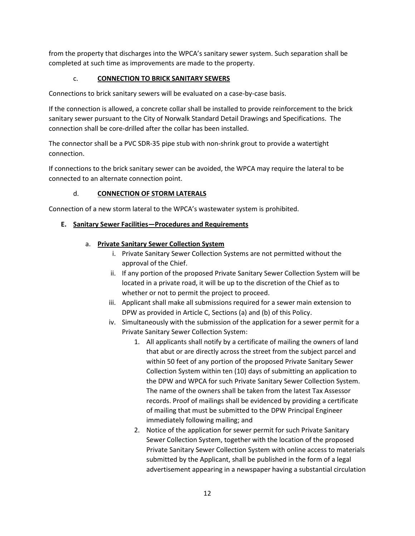from the property that discharges into the WPCA's sanitary sewer system. Such separation shall be completed at such time as improvements are made to the property.

# c. **CONNECTION TO BRICK SANITARY SEWERS**

Connections to brick sanitary sewers will be evaluated on a case-by-case basis.

If the connection is allowed, a concrete collar shall be installed to provide reinforcement to the brick sanitary sewer pursuant to the City of Norwalk Standard Detail Drawings and Specifications. The connection shall be core-drilled after the collar has been installed.

The connector shall be a PVC SDR-35 pipe stub with non-shrink grout to provide a watertight connection.

If connections to the brick sanitary sewer can be avoided, the WPCA may require the lateral to be connected to an alternate connection point.

## d. **CONNECTION OF STORM LATERALS**

Connection of a new storm lateral to the WPCA's wastewater system is prohibited.

### **E. Sanitary Sewer Facilities—Procedures and Requirements**

### a. **Private Sanitary Sewer Collection System**

- i. Private Sanitary Sewer Collection Systems are not permitted without the approval of the Chief.
- ii. If any portion of the proposed Private Sanitary Sewer Collection System will be located in a private road, it will be up to the discretion of the Chief as to whether or not to permit the project to proceed.
- iii. Applicant shall make all submissions required for a sewer main extension to DPW as provided in Article C, Sections (a) and (b) of this Policy.
- iv. Simultaneously with the submission of the application for a sewer permit for a Private Sanitary Sewer Collection System:
	- 1. All applicants shall notify by a certificate of mailing the owners of land that abut or are directly across the street from the subject parcel and within 50 feet of any portion of the proposed Private Sanitary Sewer Collection System within ten (10) days of submitting an application to the DPW and WPCA for such Private Sanitary Sewer Collection System. The name of the owners shall be taken from the latest Tax Assessor records. Proof of mailings shall be evidenced by providing a certificate of mailing that must be submitted to the DPW Principal Engineer immediately following mailing; and
	- 2. Notice of the application for sewer permit for such Private Sanitary Sewer Collection System, together with the location of the proposed Private Sanitary Sewer Collection System with online access to materials submitted by the Applicant, shall be published in the form of a legal advertisement appearing in a newspaper having a substantial circulation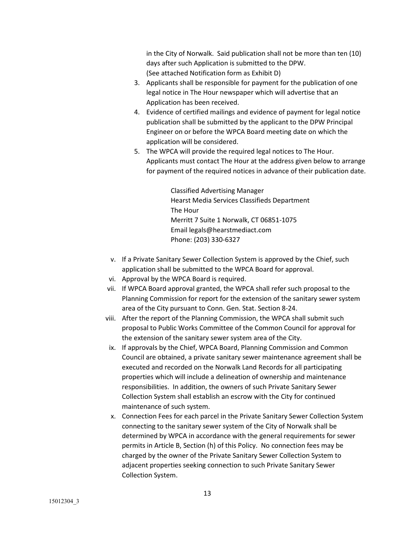in the City of Norwalk. Said publication shall not be more than ten (10) days after such Application is submitted to the DPW. (See attached Notification form as Exhibit D)

- 3. Applicants shall be responsible for payment for the publication of one legal notice in The Hour newspaper which will advertise that an Application has been received.
- 4. Evidence of certified mailings and evidence of payment for legal notice publication shall be submitted by the applicant to the DPW Principal Engineer on or before the WPCA Board meeting date on which the application will be considered.
- 5. The WPCA will provide the required legal notices to The Hour. Applicants must contact The Hour at the address given below to arrange for payment of the required notices in advance of their publication date.

Classified Advertising Manager Hearst Media Services Classifieds Department The Hour Merritt 7 Suite 1 Norwalk, CT 06851-1075 Email legals@hearstmediact.com Phone: (203) 330-6327

- v. If a Private Sanitary Sewer Collection System is approved by the Chief, such application shall be submitted to the WPCA Board for approval.
- vi. Approval by the WPCA Board is required.
- vii. If WPCA Board approval granted, the WPCA shall refer such proposal to the Planning Commission for report for the extension of the sanitary sewer system area of the City pursuant to Conn. Gen. Stat. Section 8-24.
- viii. After the report of the Planning Commission, the WPCA shall submit such proposal to Public Works Committee of the Common Council for approval for the extension of the sanitary sewer system area of the City.
- ix. If approvals by the Chief, WPCA Board, Planning Commission and Common Council are obtained, a private sanitary sewer maintenance agreement shall be executed and recorded on the Norwalk Land Records for all participating properties which will include a delineation of ownership and maintenance responsibilities. In addition, the owners of such Private Sanitary Sewer Collection System shall establish an escrow with the City for continued maintenance of such system.
- x. Connection Fees for each parcel in the Private Sanitary Sewer Collection System connecting to the sanitary sewer system of the City of Norwalk shall be determined by WPCA in accordance with the general requirements for sewer permits in Article B, Section (h) of this Policy. No connection fees may be charged by the owner of the Private Sanitary Sewer Collection System to adjacent properties seeking connection to such Private Sanitary Sewer Collection System.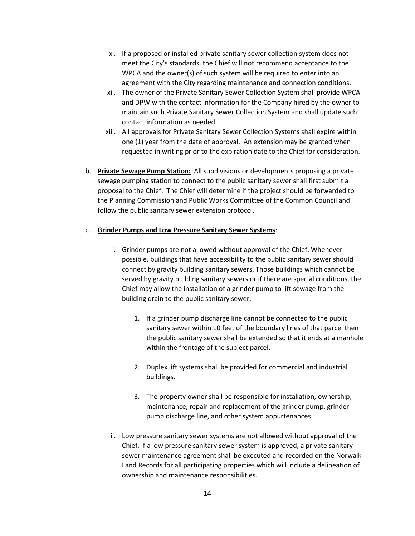- xi. If a proposed or installed private sanitary sewer collection system does not meet the City's standards, the Chief will not recommend acceptance to the WPCA and the owner(s) of such system will be required to enter into an agreement with the City regarding maintenance and connection conditions.
- xii. The owner of the Private Sanitary Sewer Collection System shall provide WPCA and DPW with the contact information for the Company hired by the owner to maintain such Private Sanitary Sewer Collection System and shall update such contact information as needed.
- xiii. All approvals for Private Sanitary Sewer Collection Systems shall expire within one (1) year from the date of approval. An extension may be granted when requested in writing prior to the expiration date to the Chief for consideration.
- b. **Private Sewage Pump Station:** All subdivisions or developments proposing a private sewage pumping station to connect to the public sanitary sewer shall first submit a proposal to the Chief. The Chief will determine if the project should be forwarded to the Planning Commission and Public Works Committee of the Common Council and follow the public sanitary sewer extension protocol.

#### c. **Grinder Pumps and Low Pressure Sanitary Sewer Systems**:

- i. Grinder pumps are not allowed without approval of the Chief. Whenever possible, buildings that have accessibility to the public sanitary sewer should connect by gravity building sanitary sewers. Those buildings which cannot be served by gravity building sanitary sewers or if there are special conditions, the Chief may allow the installation of a grinder pump to lift sewage from the building drain to the public sanitary sewer.
	- 1. If a grinder pump discharge line cannot be connected to the public sanitary sewer within 10 feet of the boundary lines of that parcel then the public sanitary sewer shall be extended so that it ends at a manhole within the frontage of the subject parcel.
	- 2. Duplex lift systems shall be provided for commercial and industrial buildings.
	- 3. The property owner shall be responsible for installation, ownership, maintenance, repair and replacement of the grinder pump, grinder pump discharge line, and other system appurtenances.
- ii. Low pressure sanitary sewer systems are not allowed without approval of the Chief. If a low pressure sanitary sewer system is approved, a private sanitary sewer maintenance agreement shall be executed and recorded on the Norwalk Land Records for all participating properties which will include a delineation of ownership and maintenance responsibilities.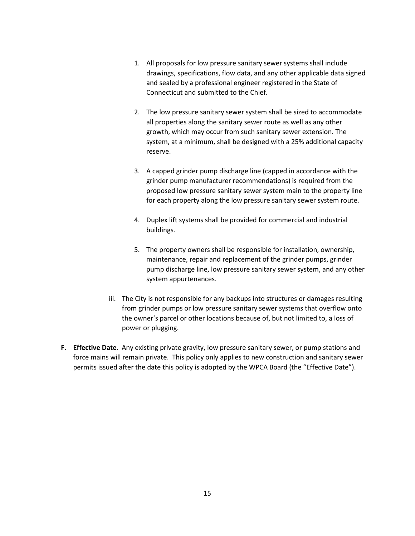- 1. All proposals for low pressure sanitary sewer systems shall include drawings, specifications, flow data, and any other applicable data signed and sealed by a professional engineer registered in the State of Connecticut and submitted to the Chief.
- 2. The low pressure sanitary sewer system shall be sized to accommodate all properties along the sanitary sewer route as well as any other growth, which may occur from such sanitary sewer extension. The system, at a minimum, shall be designed with a 25% additional capacity reserve.
- 3. A capped grinder pump discharge line (capped in accordance with the grinder pump manufacturer recommendations) is required from the proposed low pressure sanitary sewer system main to the property line for each property along the low pressure sanitary sewer system route.
- 4. Duplex lift systems shall be provided for commercial and industrial buildings.
- 5. The property owners shall be responsible for installation, ownership, maintenance, repair and replacement of the grinder pumps, grinder pump discharge line, low pressure sanitary sewer system, and any other system appurtenances.
- iii. The City is not responsible for any backups into structures or damages resulting from grinder pumps or low pressure sanitary sewer systems that overflow onto the owner's parcel or other locations because of, but not limited to, a loss of power or plugging.
- **F. Effective Date**. Any existing private gravity, low pressure sanitary sewer, or pump stations and force mains will remain private. This policy only applies to new construction and sanitary sewer permits issued after the date this policy is adopted by the WPCA Board (the "Effective Date").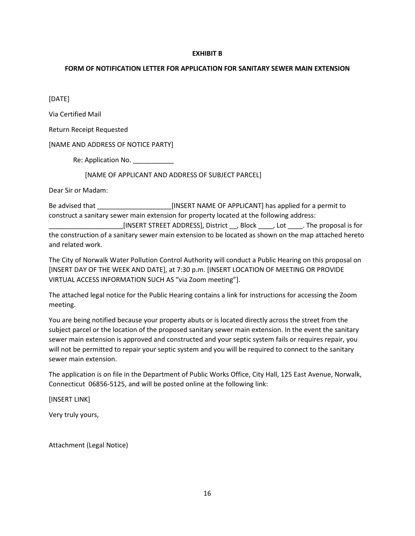#### **EXHIBIT B**

### **FORM OF NOTIFICATION LETTER FOR APPLICATION FOR SANITARY SEWER MAIN EXTENSION**

[DATE]

Via Certified Mail

Return Receipt Requested

[NAME AND ADDRESS OF NOTICE PARTY]

Re: Application No.

[NAME OF APPLICANT AND ADDRESS OF SUBJECT PARCEL]

Dear Sir or Madam:

Be advised that \_\_\_\_\_\_\_\_\_\_\_\_\_\_\_\_\_\_\_\_[INSERT NAME OF APPLICANT] has applied for a permit to construct a sanitary sewer main extension for property located at the following address:

\_\_\_\_\_\_\_\_\_\_\_\_\_\_\_\_\_\_\_\_[INSERT STREET ADDRESS], District \_\_, Block \_\_\_\_, Lot \_\_\_\_. The proposal is for the construction of a sanitary sewer main extension to be located as shown on the map attached hereto and related work.

The City of Norwalk Water Pollution Control Authority will conduct a Public Hearing on this proposal on [INSERT DAY OF THE WEEK AND DATE], at 7:30 p.m. [INSERT LOCATION OF MEETING OR PROVIDE VIRTUAL ACCESS INFORMATION SUCH AS "via Zoom meeting"].

The attached legal notice for the Public Hearing contains a link for instructions for accessing the Zoom meeting.

You are being notified because your property abuts or is located directly across the street from the subject parcel or the location of the proposed sanitary sewer main extension. In the event the sanitary sewer main extension is approved and constructed and your septic system fails or requires repair, you will not be permitted to repair your septic system and you will be required to connect to the sanitary sewer main extension.

The application is on file in the Department of Public Works Office, City Hall, 125 East Avenue, Norwalk, Connecticut 06856-5125, and will be posted online at the following link:

[INSERT LINK]

Very truly yours,

Attachment (Legal Notice)